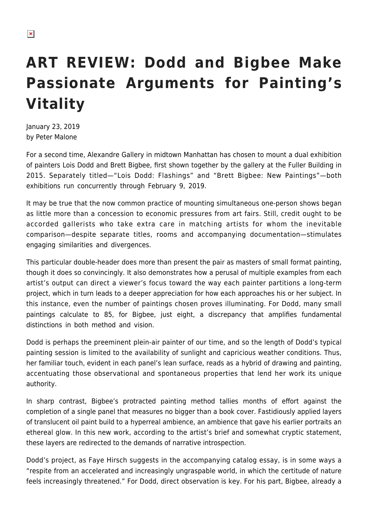## **ART REVIEW: Dodd and Bigbee Make Passionate Arguments for Painting's Vitality**

January 23, 2019 by Peter Malone

For a second time, Alexandre Gallery in midtown Manhattan has chosen to mount a dual exhibition of painters Lois Dodd and Brett Bigbee, first shown together by the gallery at the Fuller Building in 2015. Separately titled—"Lois Dodd: Flashings" and "Brett Bigbee: New Paintings"—both exhibitions run concurrently through February 9, 2019.

It may be true that the now common practice of mounting simultaneous one-person shows began as little more than a concession to economic pressures from art fairs. Still, credit ought to be accorded gallerists who take extra care in matching artists for whom the inevitable comparison—despite separate titles, rooms and accompanying documentation—stimulates engaging similarities and divergences.

This particular double-header does more than present the pair as masters of small format painting, though it does so convincingly. It also demonstrates how a perusal of multiple examples from each artist's output can direct a viewer's focus toward the way each painter partitions a long-term project, which in turn leads to a deeper appreciation for how each approaches his or her subject. In this instance, even the number of paintings chosen proves illuminating. For Dodd, many small paintings calculate to 85, for Bigbee, just eight, a discrepancy that amplifies fundamental distinctions in both method and vision.

Dodd is perhaps the preeminent plein-air painter of our time, and so the length of Dodd's typical painting session is limited to the availability of sunlight and capricious weather conditions. Thus, her familiar touch, evident in each panel's lean surface, reads as a hybrid of drawing and painting, accentuating those observational and spontaneous properties that lend her work its unique authority.

In sharp contrast, Bigbee's protracted painting method tallies months of effort against the completion of a single panel that measures no bigger than a book cover. Fastidiously applied layers of translucent oil paint build to a hyperreal ambience, an ambience that gave his earlier portraits an ethereal glow. In this new work, according to the artist's brief and somewhat cryptic statement, these layers are redirected to the demands of narrative introspection.

Dodd's project, as Faye Hirsch suggests in the accompanying catalog essay, is in some ways a "respite from an accelerated and increasingly ungraspable world, in which the certitude of nature feels increasingly threatened." For Dodd, direct observation is key. For his part, Bigbee, already a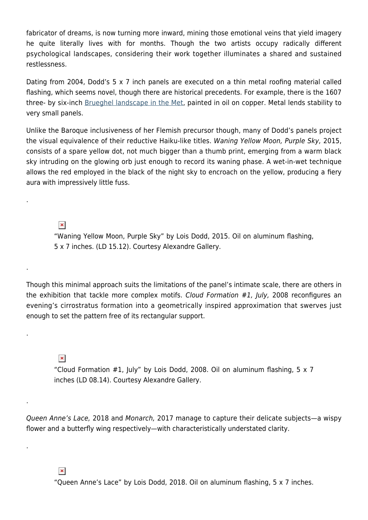fabricator of dreams, is now turning more inward, mining those emotional veins that yield imagery he quite literally lives with for months. Though the two artists occupy radically different psychological landscapes, considering their work together illuminates a shared and sustained restlessness.

Dating from 2004, Dodd's 5 x 7 inch panels are executed on a thin metal roofing material called flashing, which seems novel, though there are historical precedents. For example, there is the 1607 three- by six-inch [Brueghel landscape in the Met](https://www.metmuseum.org/art/collection/search/438465?searchField=All&sortBy=relevance&deptids=11&when=A.D.+1600-1800&where=Netherlands&what=Copper%7cOil+paint&ao=on&ft=*&offset=0&rpp=20&pos=4), painted in oil on copper. Metal lends stability to very small panels.

Unlike the Baroque inclusiveness of her Flemish precursor though, many of Dodd's panels project the visual equivalence of their reductive Haiku-like titles. Waning Yellow Moon, Purple Sky, 2015, consists of a spare yellow dot, not much bigger than a thumb print, emerging from a warm black sky intruding on the glowing orb just enough to record its waning phase. A wet-in-wet technique allows the red employed in the black of the night sky to encroach on the yellow, producing a fiery aura with impressively little fuss.

 $\pmb{\times}$ 

.

.

.

.

.

"Waning Yellow Moon, Purple Sky" by Lois Dodd, 2015. Oil on aluminum flashing, 5 x 7 inches. (LD 15.12). Courtesy Alexandre Gallery.

Though this minimal approach suits the limitations of the panel's intimate scale, there are others in the exhibition that tackle more complex motifs. Cloud Formation #1, July, 2008 reconfigures an evening's cirrostratus formation into a geometrically inspired approximation that swerves just enough to set the pattern free of its rectangular support.

 $\pmb{\times}$ 

"Cloud Formation #1, July" by Lois Dodd, 2008. Oil on aluminum flashing, 5 x 7 inches (LD 08.14). Courtesy Alexandre Gallery.

Queen Anne's Lace, 2018 and Monarch, 2017 manage to capture their delicate subjects—a wispy flower and a butterfly wing respectively—with characteristically understated clarity.

 $\pmb{\times}$ 

"Queen Anne's Lace" by Lois Dodd, 2018. Oil on aluminum flashing, 5 x 7 inches.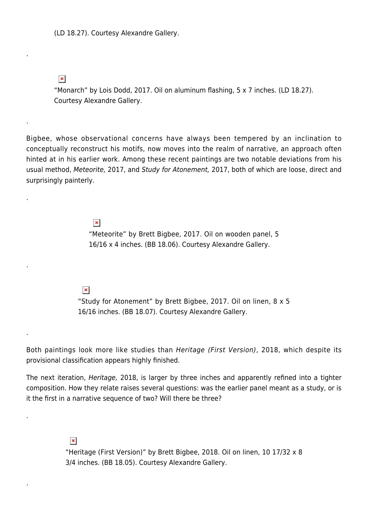(LD 18.27). Courtesy Alexandre Gallery.

 $\pmb{\times}$ 

.

.

.

.

.

.

.

"Monarch" by Lois Dodd, 2017. Oil on aluminum flashing, 5 x 7 inches. (LD 18.27). Courtesy Alexandre Gallery.

Bigbee, whose observational concerns have always been tempered by an inclination to conceptually reconstruct his motifs, now moves into the realm of narrative, an approach often hinted at in his earlier work. Among these recent paintings are two notable deviations from his usual method, Meteorite, 2017, and Study for Atonement, 2017, both of which are loose, direct and surprisingly painterly.

> $\pmb{\times}$ "Meteorite" by Brett Bigbee, 2017. Oil on wooden panel, 5 16/16 x 4 inches. (BB 18.06). Courtesy Alexandre Gallery.

 $\pmb{\times}$ 

"Study for Atonement" by Brett Bigbee, 2017. Oil on linen, 8 x 5 16/16 inches. (BB 18.07). Courtesy Alexandre Gallery.

Both paintings look more like studies than Heritage (First Version), 2018, which despite its provisional classification appears highly finished.

The next iteration, Heritage, 2018, is larger by three inches and apparently refined into a tighter composition. How they relate raises several questions: was the earlier panel meant as a study, or is it the first in a narrative sequence of two? Will there be three?

 $\pmb{\times}$ 

"Heritage (First Version)" by Brett Bigbee, 2018. Oil on linen, 10 17/32 x 8 3/4 inches. (BB 18.05). Courtesy Alexandre Gallery.